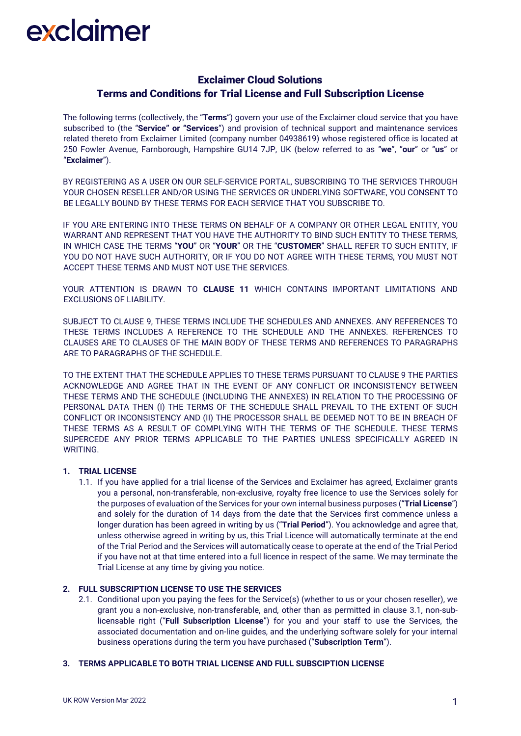### Exclaimer Cloud Solutions Terms and Conditions for Trial License and Full Subscription License

The following terms (collectively, the "**Terms**") govern your use of the Exclaimer cloud service that you have subscribed to (the "**Service" or "Services**") and provision of technical support and maintenance services related thereto from Exclaimer Limited (company number 04938619) whose registered office is located at 250 Fowler Avenue, Farnborough, Hampshire GU14 7JP, UK (below referred to as "**we**", "**our**" or "**us**" or "**Exclaimer**").

BY REGISTERING AS A USER ON OUR SELF-SERVICE PORTAL, SUBSCRIBING TO THE SERVICES THROUGH YOUR CHOSEN RESELLER AND/OR USING THE SERVICES OR UNDERLYING SOFTWARE, YOU CONSENT TO BE LEGALLY BOUND BY THESE TERMS FOR EACH SERVICE THAT YOU SUBSCRIBE TO.

IF YOU ARE ENTERING INTO THESE TERMS ON BEHALF OF A COMPANY OR OTHER LEGAL ENTITY, YOU WARRANT AND REPRESENT THAT YOU HAVE THE AUTHORITY TO BIND SUCH ENTITY TO THESE TERMS, IN WHICH CASE THE TERMS "**YOU**" OR "**YOUR**" OR THE "**CUSTOMER**" SHALL REFER TO SUCH ENTITY, IF YOU DO NOT HAVE SUCH AUTHORITY, OR IF YOU DO NOT AGREE WITH THESE TERMS, YOU MUST NOT ACCEPT THESE TERMS AND MUST NOT USE THE SERVICES.

YOUR ATTENTION IS DRAWN TO **CLAUSE 11** WHICH CONTAINS IMPORTANT LIMITATIONS AND EXCLUSIONS OF LIABILITY.

SUBJECT TO CLAUSE 9, THESE TERMS INCLUDE THE SCHEDULES AND ANNEXES. ANY REFERENCES TO THESE TERMS INCLUDES A REFERENCE TO THE SCHEDULE AND THE ANNEXES. REFERENCES TO CLAUSES ARE TO CLAUSES OF THE MAIN BODY OF THESE TERMS AND REFERENCES TO PARAGRAPHS ARE TO PARAGRAPHS OF THE SCHEDULE.

TO THE EXTENT THAT THE SCHEDULE APPLIES TO THESE TERMS PURSUANT TO CLAUSE 9 THE PARTIES ACKNOWLEDGE AND AGREE THAT IN THE EVENT OF ANY CONFLICT OR INCONSISTENCY BETWEEN THESE TERMS AND THE SCHEDULE (INCLUDING THE ANNEXES) IN RELATION TO THE PROCESSING OF PERSONAL DATA THEN (I) THE TERMS OF THE SCHEDULE SHALL PREVAIL TO THE EXTENT OF SUCH CONFLICT OR INCONSISTENCY AND (II) THE PROCESSOR SHALL BE DEEMED NOT TO BE IN BREACH OF THESE TERMS AS A RESULT OF COMPLYING WITH THE TERMS OF THE SCHEDULE. THESE TERMS SUPERCEDE ANY PRIOR TERMS APPLICABLE TO THE PARTIES UNLESS SPECIFICALLY AGREED IN WRITING.

#### **1. TRIAL LICENSE**

1.1. If you have applied for a trial license of the Services and Exclaimer has agreed, Exclaimer grants you a personal, non-transferable, non-exclusive, royalty free licence to use the Services solely for the purposes of evaluation of the Services for your own internal business purposes ("**Trial License**") and solely for the duration of 14 days from the date that the Services first commence unless a longer duration has been agreed in writing by us ("**Trial Period**"). You acknowledge and agree that, unless otherwise agreed in writing by us, this Trial Licence will automatically terminate at the end of the Trial Period and the Services will automatically cease to operate at the end of the Trial Period if you have not at that time entered into a full licence in respect of the same. We may terminate the Trial License at any time by giving you notice.

#### **2. FULL SUBSCRIPTION LICENSE TO USE THE SERVICES**

2.1. Conditional upon you paying the fees for the Service(s) (whether to us or your chosen reseller), we grant you a non-exclusive, non-transferable, and, other than as permitted in clause 3.1, non-sublicensable right ("**Full Subscription License**") for you and your staff to use the Services, the associated documentation and on-line guides, and the underlying software solely for your internal business operations during the term you have purchased ("**Subscription Term**").

#### **3. TERMS APPLICABLE TO BOTH TRIAL LICENSE AND FULL SUBSCIPTION LICENSE**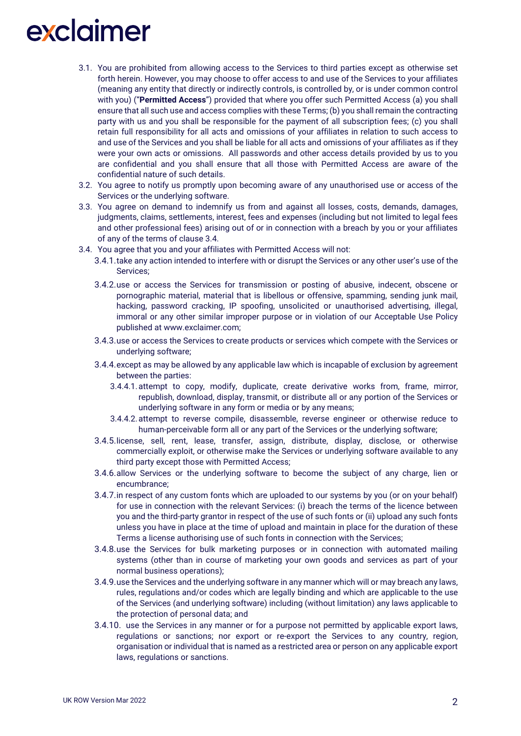- 3.1. You are prohibited from allowing access to the Services to third parties except as otherwise set forth herein. However, you may choose to offer access to and use of the Services to your affiliates (meaning any entity that directly or indirectly controls, is controlled by, or is under common control with you) ("**Permitted Access**") provided that where you offer such Permitted Access (a) you shall ensure that all such use and access complies with these Terms; (b) you shall remain the contracting party with us and you shall be responsible for the payment of all subscription fees; (c) you shall retain full responsibility for all acts and omissions of your affiliates in relation to such access to and use of the Services and you shall be liable for all acts and omissions of your affiliates as if they were your own acts or omissions. All passwords and other access details provided by us to you are confidential and you shall ensure that all those with Permitted Access are aware of the confidential nature of such details.
- 3.2. You agree to notify us promptly upon becoming aware of any unauthorised use or access of the Services or the underlying software.
- 3.3. You agree on demand to indemnify us from and against all losses, costs, demands, damages, judgments, claims, settlements, interest, fees and expenses (including but not limited to legal fees and other professional fees) arising out of or in connection with a breach by you or your affiliates of any of the terms of clause 3.4.
- 3.4. You agree that you and your affiliates with Permitted Access will not:
	- 3.4.1.take any action intended to interfere with or disrupt the Services or any other user's use of the Services;
	- 3.4.2.use or access the Services for transmission or posting of abusive, indecent, obscene or pornographic material, material that is libellous or offensive, spamming, sending junk mail, hacking, password cracking, IP spoofing, unsolicited or unauthorised advertising, illegal, immoral or any other similar improper purpose or in violation of our Acceptable Use Policy published at www.exclaimer.com;
	- 3.4.3.use or access the Services to create products or services which compete with the Services or underlying software;
	- 3.4.4.except as may be allowed by any applicable law which is incapable of exclusion by agreement between the parties:
		- 3.4.4.1.attempt to copy, modify, duplicate, create derivative works from, frame, mirror, republish, download, display, transmit, or distribute all or any portion of the Services or underlying software in any form or media or by any means;
		- 3.4.4.2.attempt to reverse compile, disassemble, reverse engineer or otherwise reduce to human-perceivable form all or any part of the Services or the underlying software;
	- 3.4.5.license, sell, rent, lease, transfer, assign, distribute, display, disclose, or otherwise commercially exploit, or otherwise make the Services or underlying software available to any third party except those with Permitted Access;
	- 3.4.6.allow Services or the underlying software to become the subject of any charge, lien or encumbrance;
	- 3.4.7.in respect of any custom fonts which are uploaded to our systems by you (or on your behalf) for use in connection with the relevant Services: (i) breach the terms of the licence between you and the third-party grantor in respect of the use of such fonts or (ii) upload any such fonts unless you have in place at the time of upload and maintain in place for the duration of these Terms a license authorising use of such fonts in connection with the Services;
	- 3.4.8.use the Services for bulk marketing purposes or in connection with automated mailing systems (other than in course of marketing your own goods and services as part of your normal business operations);
	- 3.4.9.use the Services and the underlying software in any manner which will or may breach any laws, rules, regulations and/or codes which are legally binding and which are applicable to the use of the Services (and underlying software) including (without limitation) any laws applicable to the protection of personal data; and
	- 3.4.10. use the Services in any manner or for a purpose not permitted by applicable export laws, regulations or sanctions; nor export or re-export the Services to any country, region, organisation or individual that is named as a restricted area or person on any applicable export laws, regulations or sanctions.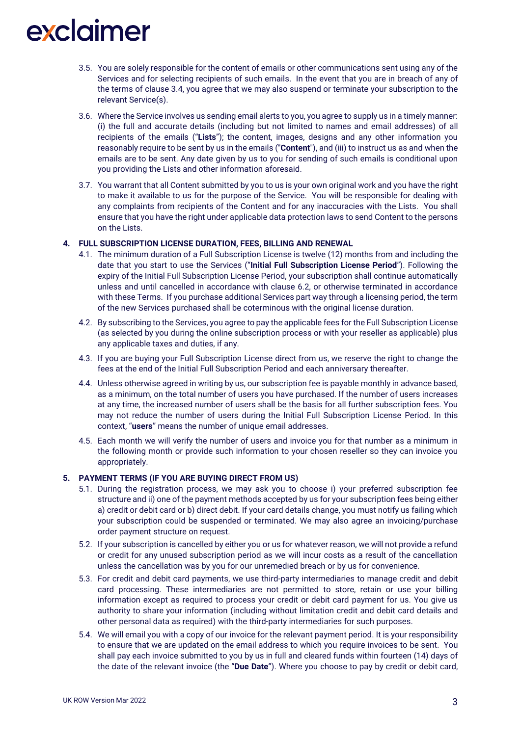- 3.5. You are solely responsible for the content of emails or other communications sent using any of the Services and for selecting recipients of such emails. In the event that you are in breach of any of the terms of clause 3.4, you agree that we may also suspend or terminate your subscription to the relevant Service(s).
- 3.6. Where the Service involves us sending email alerts to you, you agree to supply us in a timely manner: (i) the full and accurate details (including but not limited to names and email addresses) of all recipients of the emails ("**Lists**"); the content, images, designs and any other information you reasonably require to be sent by us in the emails ("**Content**"), and (iii) to instruct us as and when the emails are to be sent. Any date given by us to you for sending of such emails is conditional upon you providing the Lists and other information aforesaid.
- 3.7. You warrant that all Content submitted by you to us is your own original work and you have the right to make it available to us for the purpose of the Service. You will be responsible for dealing with any complaints from recipients of the Content and for any inaccuracies with the Lists. You shall ensure that you have the right under applicable data protection laws to send Content to the persons on the Lists.

#### **4. FULL SUBSCRIPTION LICENSE DURATION, FEES, BILLING AND RENEWAL**

- 4.1. The minimum duration of a Full Subscription License is twelve (12) months from and including the date that you start to use the Services ("**Initial Full Subscription License Period**"). Following the expiry of the Initial Full Subscription License Period, your subscription shall continue automatically unless and until cancelled in accordance with clause 6.2, or otherwise terminated in accordance with these Terms. If you purchase additional Services part way through a licensing period, the term of the new Services purchased shall be coterminous with the original license duration.
- 4.2. By subscribing to the Services, you agree to pay the applicable fees for the Full Subscription License (as selected by you during the online subscription process or with your reseller as applicable) plus any applicable taxes and duties, if any.
- 4.3. If you are buying your Full Subscription License direct from us, we reserve the right to change the fees at the end of the Initial Full Subscription Period and each anniversary thereafter.
- 4.4. Unless otherwise agreed in writing by us, our subscription fee is payable monthly in advance based, as a minimum, on the total number of users you have purchased. If the number of users increases at any time, the increased number of users shall be the basis for all further subscription fees. You may not reduce the number of users during the Initial Full Subscription License Period. In this context, "**users**" means the number of unique email addresses.
- 4.5. Each month we will verify the number of users and invoice you for that number as a minimum in the following month or provide such information to your chosen reseller so they can invoice you appropriately.

#### **5. PAYMENT TERMS (IF YOU ARE BUYING DIRECT FROM US)**

- 5.1. During the registration process, we may ask you to choose i) your preferred subscription fee structure and ii) one of the payment methods accepted by us for your subscription fees being either a) credit or debit card or b) direct debit. If your card details change, you must notify us failing which your subscription could be suspended or terminated. We may also agree an invoicing/purchase order payment structure on request.
- 5.2. If your subscription is cancelled by either you or us for whatever reason, we will not provide a refund or credit for any unused subscription period as we will incur costs as a result of the cancellation unless the cancellation was by you for our unremedied breach or by us for convenience.
- 5.3. For credit and debit card payments, we use third-party intermediaries to manage credit and debit card processing. These intermediaries are not permitted to store, retain or use your billing information except as required to process your credit or debit card payment for us. You give us authority to share your information (including without limitation credit and debit card details and other personal data as required) with the third-party intermediaries for such purposes.
- 5.4. We will email you with a copy of our invoice for the relevant payment period. It is your responsibility to ensure that we are updated on the email address to which you require invoices to be sent. You shall pay each invoice submitted to you by us in full and cleared funds within fourteen (14) days of the date of the relevant invoice (the "**Due Date**"). Where you choose to pay by credit or debit card,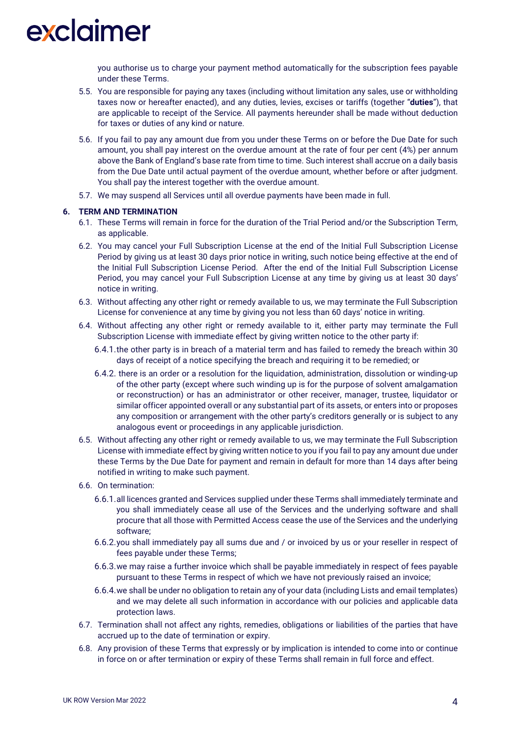you authorise us to charge your payment method automatically for the subscription fees payable under these Terms.

- 5.5. You are responsible for paying any taxes (including without limitation any sales, use or withholding taxes now or hereafter enacted), and any duties, levies, excises or tariffs (together "**duties**"), that are applicable to receipt of the Service. All payments hereunder shall be made without deduction for taxes or duties of any kind or nature.
- 5.6. If you fail to pay any amount due from you under these Terms on or before the Due Date for such amount, you shall pay interest on the overdue amount at the rate of four per cent (4%) per annum above the Bank of England's base rate from time to time. Such interest shall accrue on a daily basis from the Due Date until actual payment of the overdue amount, whether before or after judgment. You shall pay the interest together with the overdue amount.
- 5.7. We may suspend all Services until all overdue payments have been made in full.

#### **6. TERM AND TERMINATION**

- 6.1. These Terms will remain in force for the duration of the Trial Period and/or the Subscription Term, as applicable.
- 6.2. You may cancel your Full Subscription License at the end of the Initial Full Subscription License Period by giving us at least 30 days prior notice in writing, such notice being effective at the end of the Initial Full Subscription License Period. After the end of the Initial Full Subscription License Period, you may cancel your Full Subscription License at any time by giving us at least 30 days' notice in writing.
- 6.3. Without affecting any other right or remedy available to us, we may terminate the Full Subscription License for convenience at any time by giving you not less than 60 days' notice in writing.
- 6.4. Without affecting any other right or remedy available to it, either party may terminate the Full Subscription License with immediate effect by giving written notice to the other party if:
	- 6.4.1.the other party is in breach of a material term and has failed to remedy the breach within 30 days of receipt of a notice specifying the breach and requiring it to be remedied; or
	- 6.4.2. there is an order or a resolution for the liquidation, administration, dissolution or winding-up of the other party (except where such winding up is for the purpose of solvent amalgamation or reconstruction) or has an administrator or other receiver, manager, trustee, liquidator or similar officer appointed overall or any substantial part of its assets, or enters into or proposes any composition or arrangement with the other party's creditors generally or is subject to any analogous event or proceedings in any applicable jurisdiction.
- 6.5. Without affecting any other right or remedy available to us, we may terminate the Full Subscription License with immediate effect by giving written notice to you if you fail to pay any amount due under these Terms by the Due Date for payment and remain in default for more than 14 days after being notified in writing to make such payment.
- 6.6. On termination:
	- 6.6.1.all licences granted and Services supplied under these Terms shall immediately terminate and you shall immediately cease all use of the Services and the underlying software and shall procure that all those with Permitted Access cease the use of the Services and the underlying software;
	- 6.6.2.you shall immediately pay all sums due and / or invoiced by us or your reseller in respect of fees payable under these Terms;
	- 6.6.3.we may raise a further invoice which shall be payable immediately in respect of fees payable pursuant to these Terms in respect of which we have not previously raised an invoice;
	- 6.6.4.we shall be under no obligation to retain any of your data (including Lists and email templates) and we may delete all such information in accordance with our policies and applicable data protection laws.
- 6.7. Termination shall not affect any rights, remedies, obligations or liabilities of the parties that have accrued up to the date of termination or expiry.
- 6.8. Any provision of these Terms that expressly or by implication is intended to come into or continue in force on or after termination or expiry of these Terms shall remain in full force and effect.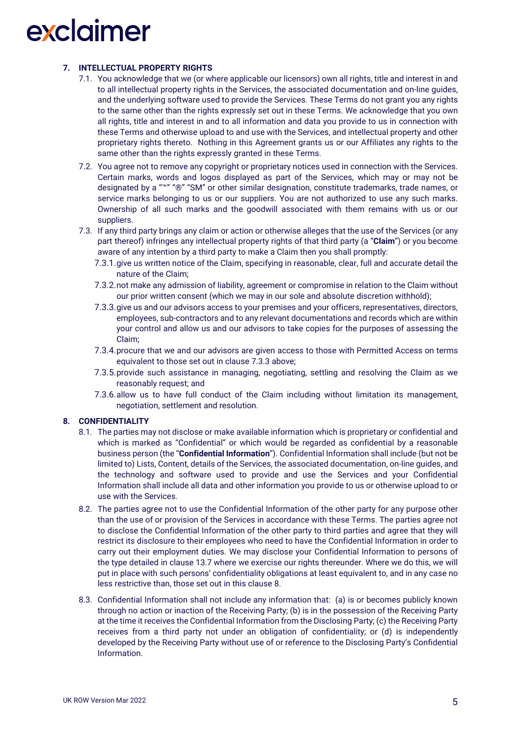### **7. INTELLECTUAL PROPERTY RIGHTS**

- 7.1. You acknowledge that we (or where applicable our licensors) own all rights, title and interest in and to all intellectual property rights in the Services, the associated documentation and on-line guides, and the underlying software used to provide the Services. These Terms do not grant you any rights to the same other than the rights expressly set out in these Terms. We acknowledge that you own all rights, title and interest in and to all information and data you provide to us in connection with these Terms and otherwise upload to and use with the Services, and intellectual property and other proprietary rights thereto. Nothing in this Agreement grants us or our Affiliates any rights to the same other than the rights expressly granted in these Terms.
- 7.2. You agree not to remove any copyright or proprietary notices used in connection with the Services. Certain marks, words and logos displayed as part of the Services, which may or may not be designated by a "™" "®" "SM" or other similar designation, constitute trademarks, trade names, or service marks belonging to us or our suppliers. You are not authorized to use any such marks. Ownership of all such marks and the goodwill associated with them remains with us or our suppliers.
- 7.3. If any third party brings any claim or action or otherwise alleges that the use of the Services (or any part thereof) infringes any intellectual property rights of that third party (a "**Claim**") or you become aware of any intention by a third party to make a Claim then you shall promptly:
	- 7.3.1.give us written notice of the Claim, specifying in reasonable, clear, full and accurate detail the nature of the Claim;
	- 7.3.2.not make any admission of liability, agreement or compromise in relation to the Claim without our prior written consent (which we may in our sole and absolute discretion withhold);
	- 7.3.3.give us and our advisors access to your premises and your officers, representatives, directors, employees, sub-contractors and to any relevant documentations and records which are within your control and allow us and our advisors to take copies for the purposes of assessing the Claim;
	- 7.3.4.procure that we and our advisors are given access to those with Permitted Access on terms equivalent to those set out in clause 7.3.3 above;
	- 7.3.5.provide such assistance in managing, negotiating, settling and resolving the Claim as we reasonably request; and
	- 7.3.6.allow us to have full conduct of the Claim including without limitation its management, negotiation, settlement and resolution.

#### **8. CONFIDENTIALITY**

- 8.1. The parties may not disclose or make available information which is proprietary or confidential and which is marked as "Confidential" or which would be regarded as confidential by a reasonable business person (the "**Confidential Information**"). Confidential Information shall include (but not be limited to) Lists, Content, details of the Services, the associated documentation, on-line guides, and the technology and software used to provide and use the Services and your Confidential Information shall include all data and other information you provide to us or otherwise upload to or use with the Services.
- 8.2. The parties agree not to use the Confidential Information of the other party for any purpose other than the use of or provision of the Services in accordance with these Terms. The parties agree not to disclose the Confidential Information of the other party to third parties and agree that they will restrict its disclosure to their employees who need to have the Confidential Information in order to carry out their employment duties. We may disclose your Confidential Information to persons of the type detailed in clause 13.7 where we exercise our rights thereunder. Where we do this, we will put in place with such persons' confidentiality obligations at least equivalent to, and in any case no less restrictive than, those set out in this clause 8.
- 8.3. Confidential Information shall not include any information that: (a) is or becomes publicly known through no action or inaction of the Receiving Party; (b) is in the possession of the Receiving Party at the time it receives the Confidential Information from the Disclosing Party; (c) the Receiving Party receives from a third party not under an obligation of confidentiality; or (d) is independently developed by the Receiving Party without use of or reference to the Disclosing Party's Confidential Information.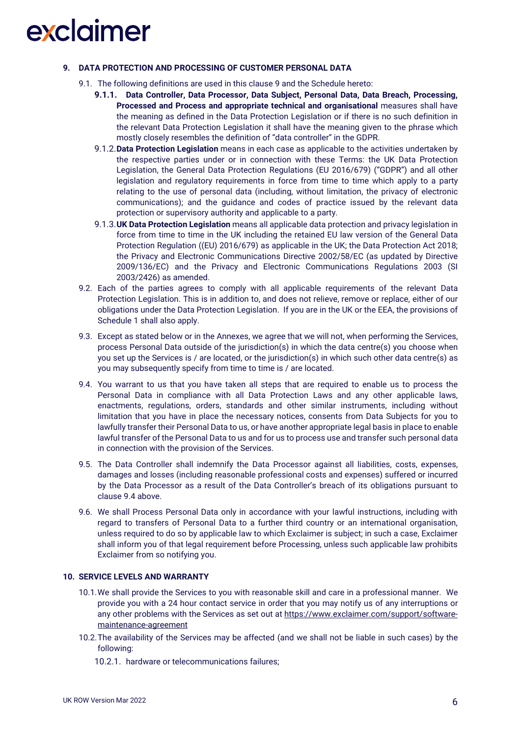#### **9. DATA PROTECTION AND PROCESSING OF CUSTOMER PERSONAL DATA**

- 9.1. The following definitions are used in this clause 9 and the Schedule hereto:
	- **9.1.1. Data Controller, Data Processor, Data Subject, Personal Data, Data Breach, Processing, Processed and Process and appropriate technical and organisational** measures shall have the meaning as defined in the Data Protection Legislation or if there is no such definition in the relevant Data Protection Legislation it shall have the meaning given to the phrase which mostly closely resembles the definition of "data controller" in the GDPR.
	- 9.1.2.**Data Protection Legislation** means in each case as applicable to the activities undertaken by the respective parties under or in connection with these Terms: the UK Data Protection Legislation, the General Data Protection Regulations (EU 2016/679) ("GDPR") and all other legislation and regulatory requirements in force from time to time which apply to a party relating to the use of personal data (including, without limitation, the privacy of electronic communications); and the guidance and codes of practice issued by the relevant data protection or supervisory authority and applicable to a party.
	- 9.1.3.**UK Data Protection Legislation** means all applicable data protection and privacy legislation in force from time to time in the UK including the retained EU law version of the General Data Protection Regulation ((EU) 2016/679) as applicable in the UK; the Data Protection Act 2018; the Privacy and Electronic Communications Directive 2002/58/EC (as updated by Directive 2009/136/EC) and the Privacy and Electronic Communications Regulations 2003 (SI 2003/2426) as amended.
- 9.2. Each of the parties agrees to comply with all applicable requirements of the relevant Data Protection Legislation. This is in addition to, and does not relieve, remove or replace, either of our obligations under the Data Protection Legislation. If you are in the UK or the EEA, the provisions of Schedule 1 shall also apply.
- 9.3. Except as stated below or in the Annexes, we agree that we will not, when performing the Services, process Personal Data outside of the jurisdiction(s) in which the data centre(s) you choose when you set up the Services is / are located, or the jurisdiction(s) in which such other data centre(s) as you may subsequently specify from time to time is / are located.
- 9.4. You warrant to us that you have taken all steps that are required to enable us to process the Personal Data in compliance with all Data Protection Laws and any other applicable laws, enactments, regulations, orders, standards and other similar instruments, including without limitation that you have in place the necessary notices, consents from Data Subjects for you to lawfully transfer their Personal Data to us, or have another appropriate legal basis in place to enable lawful transfer of the Personal Data to us and for us to process use and transfer such personal data in connection with the provision of the Services.
- 9.5. The Data Controller shall indemnify the Data Processor against all liabilities, costs, expenses, damages and losses (including reasonable professional costs and expenses) suffered or incurred by the Data Processor as a result of the Data Controller's breach of its obligations pursuant to clause 9.4 above.
- 9.6. We shall Process Personal Data only in accordance with your lawful instructions, including with regard to transfers of Personal Data to a further third country or an international organisation, unless required to do so by applicable law to which Exclaimer is subject; in such a case, Exclaimer shall inform you of that legal requirement before Processing, unless such applicable law prohibits Exclaimer from so notifying you.

#### **10. SERVICE LEVELS AND WARRANTY**

- 10.1.We shall provide the Services to you with reasonable skill and care in a professional manner. We provide you with a 24 hour contact service in order that you may notify us of any interruptions or any other problems with the Services as set out at [https://www.exclaimer.com/support/software](https://www.exclaimer.com/support/software-maintenance-agreement)[maintenance-agreement](https://www.exclaimer.com/support/software-maintenance-agreement)
- 10.2.The availability of the Services may be affected (and we shall not be liable in such cases) by the following:
	- 10.2.1. hardware or telecommunications failures;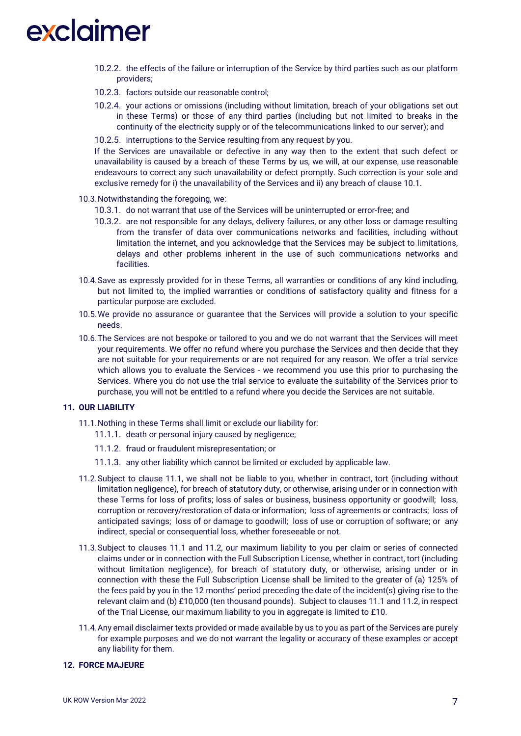- 10.2.2. the effects of the failure or interruption of the Service by third parties such as our platform providers;
- 10.2.3. factors outside our reasonable control;
- 10.2.4. your actions or omissions (including without limitation, breach of your obligations set out in these Terms) or those of any third parties (including but not limited to breaks in the continuity of the electricity supply or of the telecommunications linked to our server); and
- 10.2.5. interruptions to the Service resulting from any request by you.

If the Services are unavailable or defective in any way then to the extent that such defect or unavailability is caused by a breach of these Terms by us, we will, at our expense, use reasonable endeavours to correct any such unavailability or defect promptly. Such correction is your sole and exclusive remedy for i) the unavailability of the Services and ii) any breach of clause 10.1.

- 10.3.Notwithstanding the foregoing, we:
	- 10.3.1. do not warrant that use of the Services will be uninterrupted or error-free; and
	- 10.3.2. are not responsible for any delays, delivery failures, or any other loss or damage resulting from the transfer of data over communications networks and facilities, including without limitation the internet, and you acknowledge that the Services may be subject to limitations, delays and other problems inherent in the use of such communications networks and facilities.
- 10.4.Save as expressly provided for in these Terms, all warranties or conditions of any kind including, but not limited to, the implied warranties or conditions of satisfactory quality and fitness for a particular purpose are excluded.
- 10.5.We provide no assurance or guarantee that the Services will provide a solution to your specific needs.
- 10.6.The Services are not bespoke or tailored to you and we do not warrant that the Services will meet your requirements. We offer no refund where you purchase the Services and then decide that they are not suitable for your requirements or are not required for any reason. We offer a trial service which allows you to evaluate the Services - we recommend you use this prior to purchasing the Services. Where you do not use the trial service to evaluate the suitability of the Services prior to purchase, you will not be entitled to a refund where you decide the Services are not suitable.

#### **11. OUR LIABILITY**

- 11.1.Nothing in these Terms shall limit or exclude our liability for:
	- 11.1.1. death or personal injury caused by negligence;
	- 11.1.2. fraud or fraudulent misrepresentation; or
	- 11.1.3. any other liability which cannot be limited or excluded by applicable law.
- 11.2.Subject to clause 11.1, we shall not be liable to you, whether in contract, tort (including without limitation negligence), for breach of statutory duty, or otherwise, arising under or in connection with these Terms for loss of profits; loss of sales or business, business opportunity or goodwill; loss, corruption or recovery/restoration of data or information; loss of agreements or contracts; loss of anticipated savings; loss of or damage to goodwill; loss of use or corruption of software; or any indirect, special or consequential loss, whether foreseeable or not.
- 11.3.Subject to clauses 11.1 and 11.2, our maximum liability to you per claim or series of connected claims under or in connection with the Full Subscription License, whether in contract, tort (including without limitation negligence), for breach of statutory duty, or otherwise, arising under or in connection with these the Full Subscription License shall be limited to the greater of (a) 125% of the fees paid by you in the 12 months' period preceding the date of the incident(s) giving rise to the relevant claim and (b) £10,000 (ten thousand pounds). Subject to clauses 11.1 and 11.2, in respect of the Trial License, our maximum liability to you in aggregate is limited to £10.
- 11.4.Any email disclaimer texts provided or made available by us to you as part of the Services are purely for example purposes and we do not warrant the legality or accuracy of these examples or accept any liability for them.

#### **12. FORCE MAJEURE**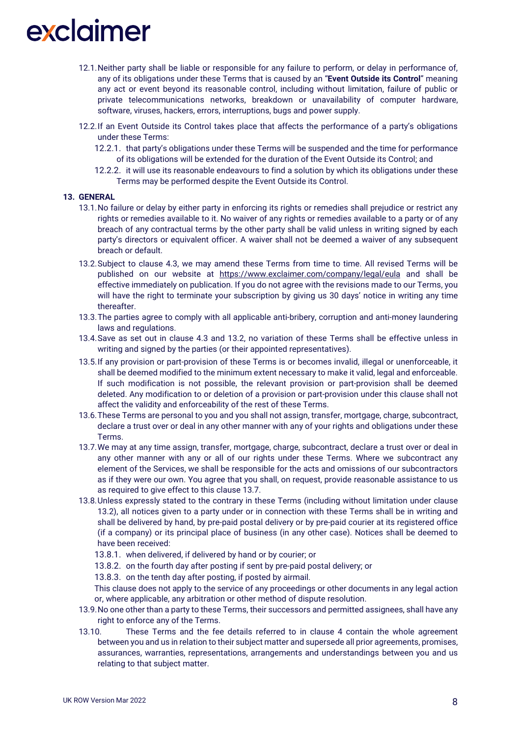- 12.1.Neither party shall be liable or responsible for any failure to perform, or delay in performance of, any of its obligations under these Terms that is caused by an "**Event Outside its Control**" meaning any act or event beyond its reasonable control, including without limitation, failure of public or private telecommunications networks, breakdown or unavailability of computer hardware, software, viruses, hackers, errors, interruptions, bugs and power supply.
- 12.2.If an Event Outside its Control takes place that affects the performance of a party's obligations under these Terms:
	- 12.2.1. that party's obligations under these Terms will be suspended and the time for performance of its obligations will be extended for the duration of the Event Outside its Control; and
	- 12.2.2. it will use its reasonable endeavours to find a solution by which its obligations under these Terms may be performed despite the Event Outside its Control.

#### **13. GENERAL**

- 13.1.No failure or delay by either party in enforcing its rights or remedies shall prejudice or restrict any rights or remedies available to it. No waiver of any rights or remedies available to a party or of any breach of any contractual terms by the other party shall be valid unless in writing signed by each party's directors or equivalent officer. A waiver shall not be deemed a waiver of any subsequent breach or default.
- 13.2.Subject to clause 4.3, we may amend these Terms from time to time. All revised Terms will be published on our website at <https://www.exclaimer.com/company/legal/eula> and shall be effective immediately on publication. If you do not agree with the revisions made to our Terms, you will have the right to terminate your subscription by giving us 30 days' notice in writing any time thereafter.
- 13.3.The parties agree to comply with all applicable anti-bribery, corruption and anti-money laundering laws and regulations.
- 13.4.Save as set out in clause 4.3 and 13.2, no variation of these Terms shall be effective unless in writing and signed by the parties (or their appointed representatives).
- 13.5.If any provision or part-provision of these Terms is or becomes invalid, illegal or unenforceable, it shall be deemed modified to the minimum extent necessary to make it valid, legal and enforceable. If such modification is not possible, the relevant provision or part-provision shall be deemed deleted. Any modification to or deletion of a provision or part-provision under this clause shall not affect the validity and enforceability of the rest of these Terms.
- 13.6.These Terms are personal to you and you shall not assign, transfer, mortgage, charge, subcontract, declare a trust over or deal in any other manner with any of your rights and obligations under these Terms.
- 13.7.We may at any time assign, transfer, mortgage, charge, subcontract, declare a trust over or deal in any other manner with any or all of our rights under these Terms. Where we subcontract any element of the Services, we shall be responsible for the acts and omissions of our subcontractors as if they were our own. You agree that you shall, on request, provide reasonable assistance to us as required to give effect to this clause 13.7.
- 13.8.Unless expressly stated to the contrary in these Terms (including without limitation under clause 13.2), all notices given to a party under or in connection with these Terms shall be in writing and shall be delivered by hand, by pre-paid postal delivery or by pre-paid courier at its registered office (if a company) or its principal place of business (in any other case). Notices shall be deemed to have been received:
	- 13.8.1. when delivered, if delivered by hand or by courier; or
	- 13.8.2. on the fourth day after posting if sent by pre-paid postal delivery; or
	- 13.8.3. on the tenth day after posting, if posted by airmail.

This clause does not apply to the service of any proceedings or other documents in any legal action or, where applicable, any arbitration or other method of dispute resolution.

- 13.9.No one other than a party to these Terms, their successors and permitted assignees, shall have any right to enforce any of the Terms.
- 13.10. These Terms and the fee details referred to in clause 4 contain the whole agreement between you and us in relation to their subject matter and supersede all prior agreements, promises, assurances, warranties, representations, arrangements and understandings between you and us relating to that subject matter.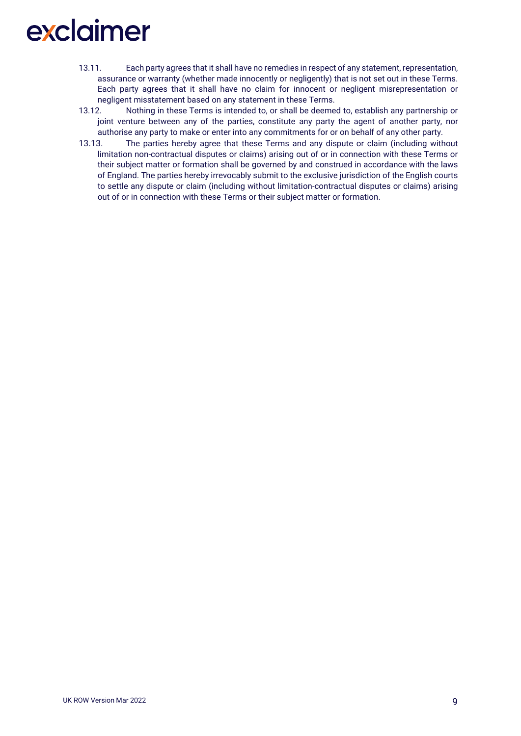- 13.11. Each party agrees that it shall have no remedies in respect of any statement, representation, assurance or warranty (whether made innocently or negligently) that is not set out in these Terms. Each party agrees that it shall have no claim for innocent or negligent misrepresentation or negligent misstatement based on any statement in these Terms.
- 13.12. Nothing in these Terms is intended to, or shall be deemed to, establish any partnership or joint venture between any of the parties, constitute any party the agent of another party, nor authorise any party to make or enter into any commitments for or on behalf of any other party.
- 13.13. The parties hereby agree that these Terms and any dispute or claim (including without limitation non-contractual disputes or claims) arising out of or in connection with these Terms or their subject matter or formation shall be governed by and construed in accordance with the laws of England. The parties hereby irrevocably submit to the exclusive jurisdiction of the English courts to settle any dispute or claim (including without limitation-contractual disputes or claims) arising out of or in connection with these Terms or their subject matter or formation.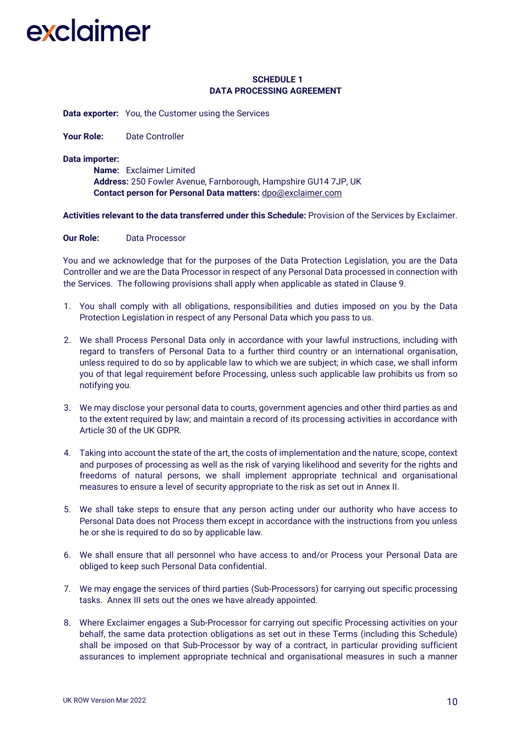### **SCHEDULE 1 DATA PROCESSING AGREEMENT**

**Data exporter:** You, the Customer using the Services

Your Role: Date Controller

#### **Data importer:**

**Name:** Exclaimer Limited **Address:** 250 Fowler Avenue, Farnborough, Hampshire GU14 7JP, UK **Contact person for Personal Data matters:** [dpo@exclaimer.com](mailto:dpo@exclaimer.com)

**Activities relevant to the data transferred under this Schedule:** Provision of the Services by Exclaimer.

#### **Our Role:** Data Processor

You and we acknowledge that for the purposes of the Data Protection Legislation, you are the Data Controller and we are the Data Processor in respect of any Personal Data processed in connection with the Services. The following provisions shall apply when applicable as stated in Clause 9.

- 1. You shall comply with all obligations, responsibilities and duties imposed on you by the Data Protection Legislation in respect of any Personal Data which you pass to us.
- 2. We shall Process Personal Data only in accordance with your lawful instructions, including with regard to transfers of Personal Data to a further third country or an international organisation, unless required to do so by applicable law to which we are subject; in which case, we shall inform you of that legal requirement before Processing, unless such applicable law prohibits us from so notifying you.
- 3. We may disclose your personal data to courts, government agencies and other third parties as and to the extent required by law; and maintain a record of its processing activities in accordance with Article 30 of the UK GDPR.
- 4. Taking into account the state of the art, the costs of implementation and the nature, scope, context and purposes of processing as well as the risk of varying likelihood and severity for the rights and freedoms of natural persons, we shall implement appropriate technical and organisational measures to ensure a level of security appropriate to the risk as set out in Annex II.
- 5. We shall take steps to ensure that any person acting under our authority who have access to Personal Data does not Process them except in accordance with the instructions from you unless he or she is required to do so by applicable law.
- 6. We shall ensure that all personnel who have access to and/or Process your Personal Data are obliged to keep such Personal Data confidential.
- 7. We may engage the services of third parties (Sub-Processors) for carrying out specific processing tasks. Annex III sets out the ones we have already appointed.
- 8. Where Exclaimer engages a Sub-Processor for carrying out specific Processing activities on your behalf, the same data protection obligations as set out in these Terms (including this Schedule) shall be imposed on that Sub-Processor by way of a contract, in particular providing sufficient assurances to implement appropriate technical and organisational measures in such a manner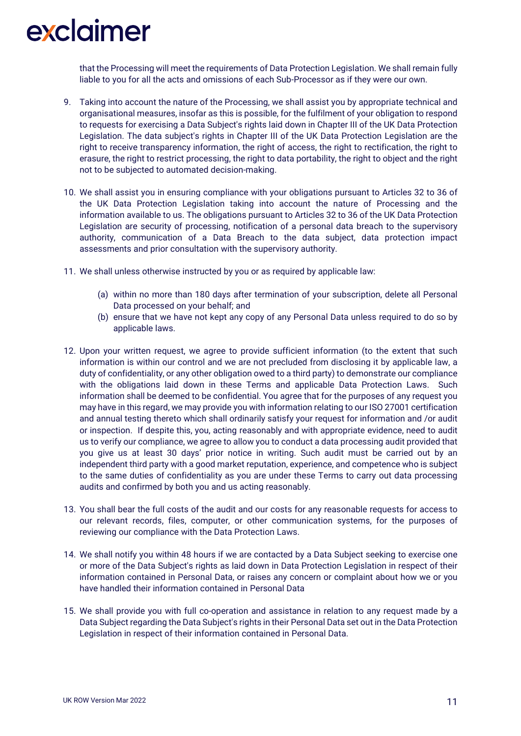that the Processing will meet the requirements of Data Protection Legislation. We shall remain fully liable to you for all the acts and omissions of each Sub-Processor as if they were our own.

- 9. Taking into account the nature of the Processing, we shall assist you by appropriate technical and organisational measures, insofar as this is possible, for the fulfilment of your obligation to respond to requests for exercising a Data Subject's rights laid down in Chapter III of the UK Data Protection Legislation. The data subject's rights in Chapter III of the UK Data Protection Legislation are the right to receive transparency information, the right of access, the right to rectification, the right to erasure, the right to restrict processing, the right to data portability, the right to object and the right not to be subjected to automated decision-making.
- 10. We shall assist you in ensuring compliance with your obligations pursuant to Articles 32 to 36 of the UK Data Protection Legislation taking into account the nature of Processing and the information available to us. The obligations pursuant to Articles 32 to 36 of the UK Data Protection Legislation are security of processing, notification of a personal data breach to the supervisory authority, communication of a Data Breach to the data subject, data protection impact assessments and prior consultation with the supervisory authority.
- 11. We shall unless otherwise instructed by you or as required by applicable law:
	- (a) within no more than 180 days after termination of your subscription, delete all Personal Data processed on your behalf; and
	- (b) ensure that we have not kept any copy of any Personal Data unless required to do so by applicable laws.
- 12. Upon your written request, we agree to provide sufficient information (to the extent that such information is within our control and we are not precluded from disclosing it by applicable law, a duty of confidentiality, or any other obligation owed to a third party) to demonstrate our compliance with the obligations laid down in these Terms and applicable Data Protection Laws. Such information shall be deemed to be confidential. You agree that for the purposes of any request you may have in this regard, we may provide you with information relating to our ISO 27001 certification and annual testing thereto which shall ordinarily satisfy your request for information and /or audit or inspection. If despite this, you, acting reasonably and with appropriate evidence, need to audit us to verify our compliance, we agree to allow you to conduct a data processing audit provided that you give us at least 30 days' prior notice in writing. Such audit must be carried out by an independent third party with a good market reputation, experience, and competence who is subject to the same duties of confidentiality as you are under these Terms to carry out data processing audits and confirmed by both you and us acting reasonably.
- 13. You shall bear the full costs of the audit and our costs for any reasonable requests for access to our relevant records, files, computer, or other communication systems, for the purposes of reviewing our compliance with the Data Protection Laws.
- 14. We shall notify you within 48 hours if we are contacted by a Data Subject seeking to exercise one or more of the Data Subject's rights as laid down in Data Protection Legislation in respect of their information contained in Personal Data, or raises any concern or complaint about how we or you have handled their information contained in Personal Data
- 15. We shall provide you with full co-operation and assistance in relation to any request made by a Data Subject regarding the Data Subject's rights in their Personal Data set out in the Data Protection Legislation in respect of their information contained in Personal Data.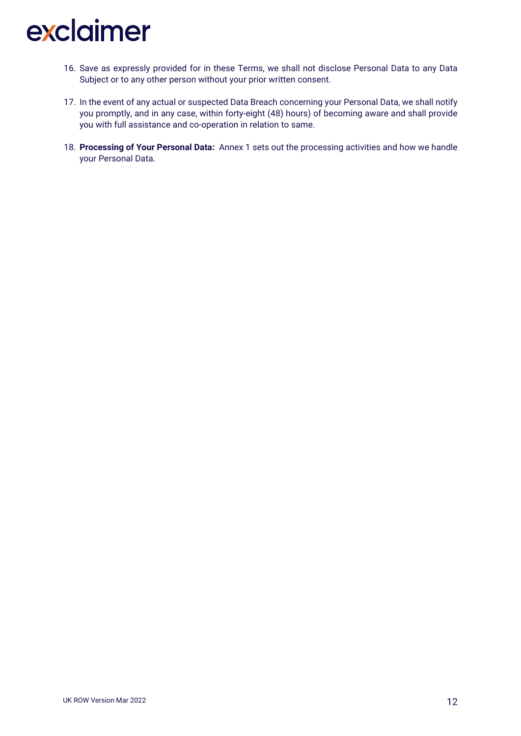- 16. Save as expressly provided for in these Terms, we shall not disclose Personal Data to any Data Subject or to any other person without your prior written consent.
- 17. In the event of any actual or suspected Data Breach concerning your Personal Data, we shall notify you promptly, and in any case, within forty-eight (48) hours) of becoming aware and shall provide you with full assistance and co-operation in relation to same.
- 18. **Processing of Your Personal Data:** Annex 1 sets out the processing activities and how we handle your Personal Data.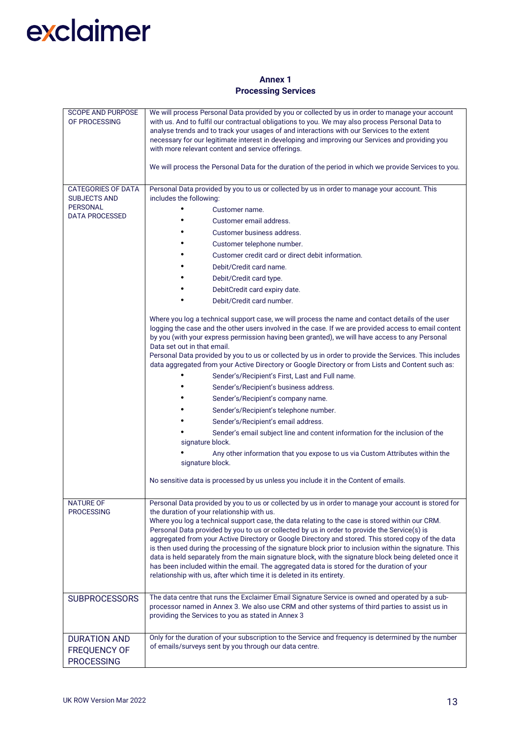### **Annex 1 Processing Services**

| <b>SCOPE AND PURPOSE</b><br>OF PROCESSING                                                    | We will process Personal Data provided by you or collected by us in order to manage your account<br>with us. And to fulfil our contractual obligations to you. We may also process Personal Data to<br>analyse trends and to track your usages of and interactions with our Services to the extent<br>necessary for our legitimate interest in developing and improving our Services and providing you<br>with more relevant content and service offerings.<br>We will process the Personal Data for the duration of the period in which we provide Services to you.                                                                                                                                                                                                                                                                                                                                                                                                                  |  |  |  |  |
|----------------------------------------------------------------------------------------------|---------------------------------------------------------------------------------------------------------------------------------------------------------------------------------------------------------------------------------------------------------------------------------------------------------------------------------------------------------------------------------------------------------------------------------------------------------------------------------------------------------------------------------------------------------------------------------------------------------------------------------------------------------------------------------------------------------------------------------------------------------------------------------------------------------------------------------------------------------------------------------------------------------------------------------------------------------------------------------------|--|--|--|--|
| <b>CATEGORIES OF DATA</b><br><b>SUBJECTS AND</b><br><b>PERSONAL</b><br><b>DATA PROCESSED</b> | Personal Data provided by you to us or collected by us in order to manage your account. This<br>includes the following:<br>$\bullet$<br>Customer name.<br>Customer email address.<br>Customer business address.<br>Customer telephone number.<br>Customer credit card or direct debit information.                                                                                                                                                                                                                                                                                                                                                                                                                                                                                                                                                                                                                                                                                    |  |  |  |  |
|                                                                                              | Debit/Credit card name.<br>Debit/Credit card type.<br>DebitCredit card expiry date.<br>Debit/Credit card number.                                                                                                                                                                                                                                                                                                                                                                                                                                                                                                                                                                                                                                                                                                                                                                                                                                                                      |  |  |  |  |
|                                                                                              | Where you log a technical support case, we will process the name and contact details of the user<br>logging the case and the other users involved in the case. If we are provided access to email content<br>by you (with your express permission having been granted), we will have access to any Personal<br>Data set out in that email.<br>Personal Data provided by you to us or collected by us in order to provide the Services. This includes<br>data aggregated from your Active Directory or Google Directory or from Lists and Content such as:<br>Sender's/Recipient's First, Last and Full name.<br>Sender's/Recipient's business address.<br>Sender's/Recipient's company name.<br>Sender's/Recipient's telephone number.<br>Sender's/Recipient's email address.<br>Sender's email subject line and content information for the inclusion of the<br>signature block.<br>Any other information that you expose to us via Custom Attributes within the<br>signature block. |  |  |  |  |
|                                                                                              | No sensitive data is processed by us unless you include it in the Content of emails.                                                                                                                                                                                                                                                                                                                                                                                                                                                                                                                                                                                                                                                                                                                                                                                                                                                                                                  |  |  |  |  |
| <b>NATURE OF</b><br><b>PROCESSING</b>                                                        | Personal Data provided by you to us or collected by us in order to manage your account is stored for<br>the duration of your relationship with us.<br>Where you log a technical support case, the data relating to the case is stored within our CRM.<br>Personal Data provided by you to us or collected by us in order to provide the Service(s) is<br>aggregated from your Active Directory or Google Directory and stored. This stored copy of the data<br>is then used during the processing of the signature block prior to inclusion within the signature. This<br>data is held separately from the main signature block, with the signature block being deleted once it<br>has been included within the email. The aggregated data is stored for the duration of your<br>relationship with us, after which time it is deleted in its entirety.                                                                                                                                |  |  |  |  |
| <b>SUBPROCESSORS</b>                                                                         | The data centre that runs the Exclaimer Email Signature Service is owned and operated by a sub-<br>processor named in Annex 3. We also use CRM and other systems of third parties to assist us in<br>providing the Services to you as stated in Annex 3                                                                                                                                                                                                                                                                                                                                                                                                                                                                                                                                                                                                                                                                                                                               |  |  |  |  |
| <b>DURATION AND</b><br>FREQUENCY OF<br><b>PROCESSING</b>                                     | Only for the duration of your subscription to the Service and frequency is determined by the number<br>of emails/surveys sent by you through our data centre.                                                                                                                                                                                                                                                                                                                                                                                                                                                                                                                                                                                                                                                                                                                                                                                                                         |  |  |  |  |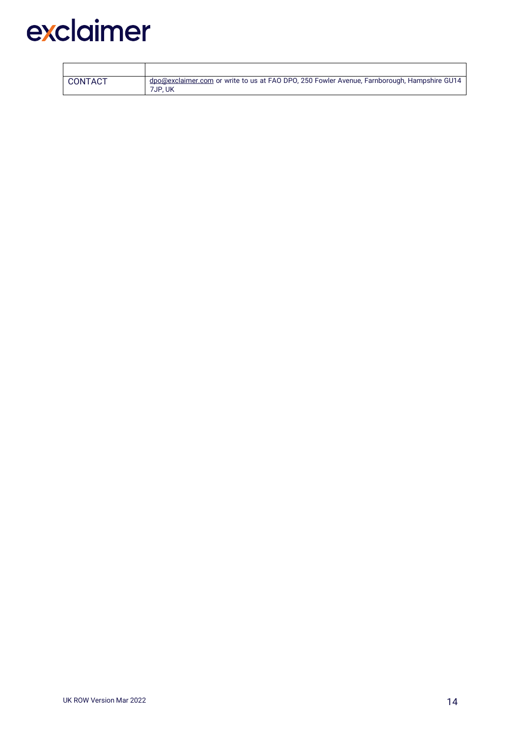| CONTACT | dpo@exclaimer.com or write to us at FAO DPO, 250 Fowler Avenue, Farnborough, Hampshire GU14<br>7JP.UK |
|---------|-------------------------------------------------------------------------------------------------------|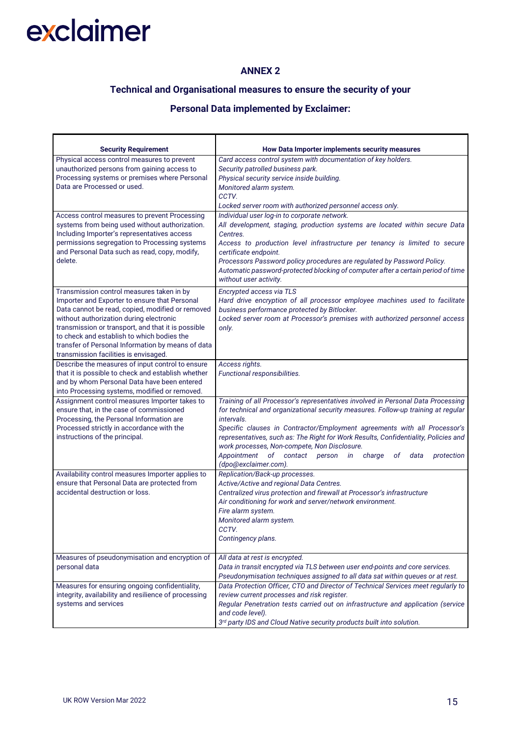r

### **ANNEX 2**

### **Technical and Organisational measures to ensure the security of your**

### **Personal Data implemented by Exclaimer:**

| <b>Security Requirement</b>                                                                                                                                                                                                                                                                                                                                                                 | How Data Importer implements security measures                                                                                                                                                                                                                                                                                                                                                                                                                                                                         |  |  |  |
|---------------------------------------------------------------------------------------------------------------------------------------------------------------------------------------------------------------------------------------------------------------------------------------------------------------------------------------------------------------------------------------------|------------------------------------------------------------------------------------------------------------------------------------------------------------------------------------------------------------------------------------------------------------------------------------------------------------------------------------------------------------------------------------------------------------------------------------------------------------------------------------------------------------------------|--|--|--|
| Physical access control measures to prevent<br>unauthorized persons from gaining access to<br>Processing systems or premises where Personal<br>Data are Processed or used.                                                                                                                                                                                                                  | Card access control system with documentation of key holders.<br>Security patrolled business park.<br>Physical security service inside building.<br>Monitored alarm system.<br>CCTV.<br>Locked server room with authorized personnel access only.                                                                                                                                                                                                                                                                      |  |  |  |
| Access control measures to prevent Processing<br>systems from being used without authorization.<br>Including Importer's representatives access<br>permissions segregation to Processing systems<br>and Personal Data such as read, copy, modify,<br>delete.                                                                                                                                 | Individual user log-in to corporate network.<br>All development, staging, production systems are located within secure Data<br>Centres.<br>Access to production level infrastructure per tenancy is limited to secure<br>certificate endpoint.<br>Processors Password policy procedures are regulated by Password Policy.<br>Automatic password-protected blocking of computer after a certain period of time<br>without user activity.                                                                                |  |  |  |
| Transmission control measures taken in by<br>Importer and Exporter to ensure that Personal<br>Data cannot be read, copied, modified or removed<br>without authorization during electronic<br>transmission or transport, and that it is possible<br>to check and establish to which bodies the<br>transfer of Personal Information by means of data<br>transmission facilities is envisaged. | Encrypted access via TLS<br>Hard drive encryption of all processor employee machines used to facilitate<br>business performance protected by Bitlocker.<br>Locked server room at Processor's premises with authorized personnel access<br>only.                                                                                                                                                                                                                                                                        |  |  |  |
| Describe the measures of input control to ensure<br>that it is possible to check and establish whether<br>and by whom Personal Data have been entered<br>into Processing systems, modified or removed.                                                                                                                                                                                      | Access rights.<br>Functional responsibilities.                                                                                                                                                                                                                                                                                                                                                                                                                                                                         |  |  |  |
| Assignment control measures Importer takes to<br>ensure that, in the case of commissioned<br>Processing, the Personal Information are<br>Processed strictly in accordance with the<br>instructions of the principal.                                                                                                                                                                        | Training of all Processor's representatives involved in Personal Data Processing<br>for technical and organizational security measures. Follow-up training at regular<br>intervals.<br>Specific clauses in Contractor/Employment agreements with all Processor's<br>representatives, such as: The Right for Work Results, Confidentiality, Policies and<br>work processes, Non-compete, Non Disclosure.<br>Appointment<br>of contact person<br>charge<br><i>in</i><br>οf<br>data<br>protection<br>(dpo@exclaimer.com). |  |  |  |
| Availability control measures Importer applies to<br>ensure that Personal Data are protected from<br>accidental destruction or loss.                                                                                                                                                                                                                                                        | Replication/Back-up processes.<br>Active/Active and regional Data Centres.<br>Centralized virus protection and firewall at Processor's infrastructure<br>Air conditioning for work and server/network environment.<br>Fire alarm system.<br>Monitored alarm system.<br>CCTV.<br>Contingency plans.                                                                                                                                                                                                                     |  |  |  |
| Measures of pseudonymisation and encryption of<br>personal data                                                                                                                                                                                                                                                                                                                             | All data at rest is encrypted.<br>Data in transit encrypted via TLS between user end-points and core services.<br>Pseudonymisation techniques assigned to all data sat within queues or at rest.                                                                                                                                                                                                                                                                                                                       |  |  |  |
| Measures for ensuring ongoing confidentiality,<br>integrity, availability and resilience of processing<br>systems and services                                                                                                                                                                                                                                                              | Data Protection Officer, CTO and Director of Technical Services meet regularly to<br>review current processes and risk register.<br>Regular Penetration tests carried out on infrastructure and application (service<br>and code level).<br>3rd party IDS and Cloud Native security products built into solution.                                                                                                                                                                                                      |  |  |  |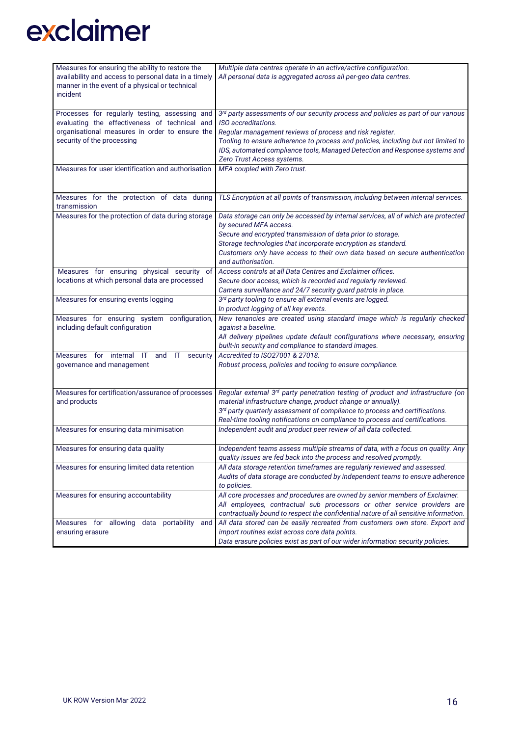| Measures for ensuring the ability to restore the                              | Multiple data centres operate in an active/active configuration.                              |  |  |  |
|-------------------------------------------------------------------------------|-----------------------------------------------------------------------------------------------|--|--|--|
| availability and access to personal data in a timely                          | All personal data is aggregated across all per-geo data centres.                              |  |  |  |
| manner in the event of a physical or technical                                |                                                                                               |  |  |  |
| incident                                                                      |                                                                                               |  |  |  |
|                                                                               |                                                                                               |  |  |  |
| Processes for regularly testing, assessing and                                | 3rd party assessments of our security process and policies as part of our various             |  |  |  |
| evaluating the effectiveness of technical and                                 | ISO accreditations.                                                                           |  |  |  |
| organisational measures in order to ensure the                                | Regular management reviews of process and risk register.                                      |  |  |  |
| security of the processing                                                    | Tooling to ensure adherence to process and policies, including but not limited to             |  |  |  |
|                                                                               | IDS, automated compliance tools, Managed Detection and Response systems and                   |  |  |  |
| Measures for user identification and authorisation                            | Zero Trust Access systems.<br>MFA coupled with Zero trust.                                    |  |  |  |
|                                                                               |                                                                                               |  |  |  |
|                                                                               |                                                                                               |  |  |  |
| Measures for the protection of data during                                    | TLS Encryption at all points of transmission, including between internal services.            |  |  |  |
| transmission                                                                  |                                                                                               |  |  |  |
| Measures for the protection of data during storage                            | Data storage can only be accessed by internal services, all of which are protected            |  |  |  |
|                                                                               | by secured MFA access.                                                                        |  |  |  |
|                                                                               | Secure and encrypted transmission of data prior to storage.                                   |  |  |  |
|                                                                               | Storage technologies that incorporate encryption as standard.                                 |  |  |  |
|                                                                               | Customers only have access to their own data based on secure authentication                   |  |  |  |
|                                                                               | and authorisation.                                                                            |  |  |  |
| Measures for ensuring physical security of                                    | Access controls at all Data Centres and Exclaimer offices.                                    |  |  |  |
| locations at which personal data are processed                                | Secure door access, which is recorded and regularly reviewed.                                 |  |  |  |
|                                                                               | Camera surveillance and 24/7 security guard patrols in place.                                 |  |  |  |
| Measures for ensuring events logging                                          | 3rd party tooling to ensure all external events are logged.                                   |  |  |  |
|                                                                               | In product logging of all key events.                                                         |  |  |  |
| Measures for ensuring system configuration,                                   | New tenancies are created using standard image which is regularly checked                     |  |  |  |
| including default configuration                                               | against a baseline.                                                                           |  |  |  |
|                                                                               | All delivery pipelines update default configurations where necessary, ensuring                |  |  |  |
|                                                                               | built-in security and compliance to standard images.                                          |  |  |  |
| Measures for internal IT<br>and<br>ा<br>security<br>governance and management | Accredited to ISO27001 & 27018.                                                               |  |  |  |
|                                                                               | Robust process, policies and tooling to ensure compliance.                                    |  |  |  |
|                                                                               |                                                                                               |  |  |  |
| Measures for certification/assurance of processes                             | Regular external 3rd party penetration testing of product and infrastructure (on              |  |  |  |
| and products                                                                  | material infrastructure change, product change or annually).                                  |  |  |  |
|                                                                               | 3rd party quarterly assessment of compliance to process and certifications.                   |  |  |  |
|                                                                               | Real-time tooling notifications on compliance to process and certifications.                  |  |  |  |
| Measures for ensuring data minimisation                                       | Independent audit and product peer review of all data collected.                              |  |  |  |
|                                                                               |                                                                                               |  |  |  |
| Measures for ensuring data quality                                            | Independent teams assess multiple streams of data, with a focus on quality. Any               |  |  |  |
|                                                                               | quality issues are fed back into the process and resolved promptly.                           |  |  |  |
| Measures for ensuring limited data retention                                  | All data storage retention timeframes are regularly reviewed and assessed.                    |  |  |  |
|                                                                               | Audits of data storage are conducted by independent teams to ensure adherence<br>to policies. |  |  |  |
| Measures for ensuring accountability                                          | All core processes and procedures are owned by senior members of Exclaimer.                   |  |  |  |
|                                                                               | All employees, contractual sub processors or other service providers are                      |  |  |  |
|                                                                               | contractually bound to respect the confidential nature of all sensitive information.          |  |  |  |
| Measures for allowing data portability<br>and                                 | All data stored can be easily recreated from customers own store. Export and                  |  |  |  |
| ensuring erasure                                                              | import routines exist across core data points.                                                |  |  |  |
|                                                                               | Data erasure policies exist as part of our wider information security policies.               |  |  |  |